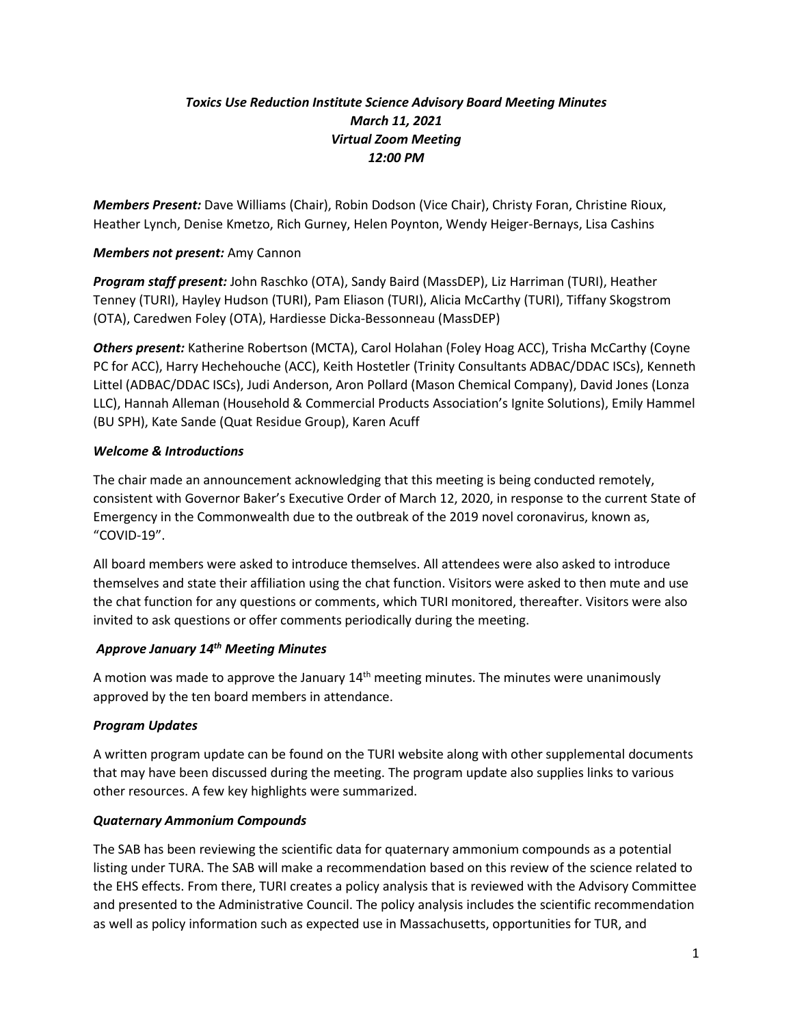# *Toxics Use Reduction Institute Science Advisory Board Meeting Minutes March 11, 2021 Virtual Zoom Meeting 12:00 PM*

*Members Present:* Dave Williams (Chair), Robin Dodson (Vice Chair), Christy Foran, Christine Rioux, Heather Lynch, Denise Kmetzo, Rich Gurney, Helen Poynton, Wendy Heiger-Bernays, Lisa Cashins

#### *Members not present:* Amy Cannon

*Program staff present:* John Raschko (OTA), Sandy Baird (MassDEP), Liz Harriman (TURI), Heather Tenney (TURI), Hayley Hudson (TURI), Pam Eliason (TURI), Alicia McCarthy (TURI), Tiffany Skogstrom (OTA), Caredwen Foley (OTA), Hardiesse Dicka-Bessonneau (MassDEP)

*Others present:* Katherine Robertson (MCTA), Carol Holahan (Foley Hoag ACC), Trisha McCarthy (Coyne PC for ACC), Harry Hechehouche (ACC), Keith Hostetler (Trinity Consultants ADBAC/DDAC ISCs), Kenneth Littel (ADBAC/DDAC ISCs), Judi Anderson, Aron Pollard (Mason Chemical Company), David Jones (Lonza LLC), Hannah Alleman (Household & Commercial Products Association's Ignite Solutions), Emily Hammel (BU SPH), Kate Sande (Quat Residue Group), Karen Acuff

#### *Welcome & Introductions*

The chair made an announcement acknowledging that this meeting is being conducted remotely, consistent with Governor Baker's Executive Order of March 12, 2020, in response to the current State of Emergency in the Commonwealth due to the outbreak of the 2019 novel coronavirus, known as, "COVID-19".

All board members were asked to introduce themselves. All attendees were also asked to introduce themselves and state their affiliation using the chat function. Visitors were asked to then mute and use the chat function for any questions or comments, which TURI monitored, thereafter. Visitors were also invited to ask questions or offer comments periodically during the meeting.

## *Approve January 14th Meeting Minutes*

A motion was made to approve the January  $14<sup>th</sup>$  meeting minutes. The minutes were unanimously approved by the ten board members in attendance.

#### *Program Updates*

A written program update can be found on the TURI website along with other supplemental documents that may have been discussed during the meeting. The program update also supplies links to various other resources. A few key highlights were summarized.

#### *Quaternary Ammonium Compounds*

The SAB has been reviewing the scientific data for quaternary ammonium compounds as a potential listing under TURA. The SAB will make a recommendation based on this review of the science related to the EHS effects. From there, TURI creates a policy analysis that is reviewed with the Advisory Committee and presented to the Administrative Council. The policy analysis includes the scientific recommendation as well as policy information such as expected use in Massachusetts, opportunities for TUR, and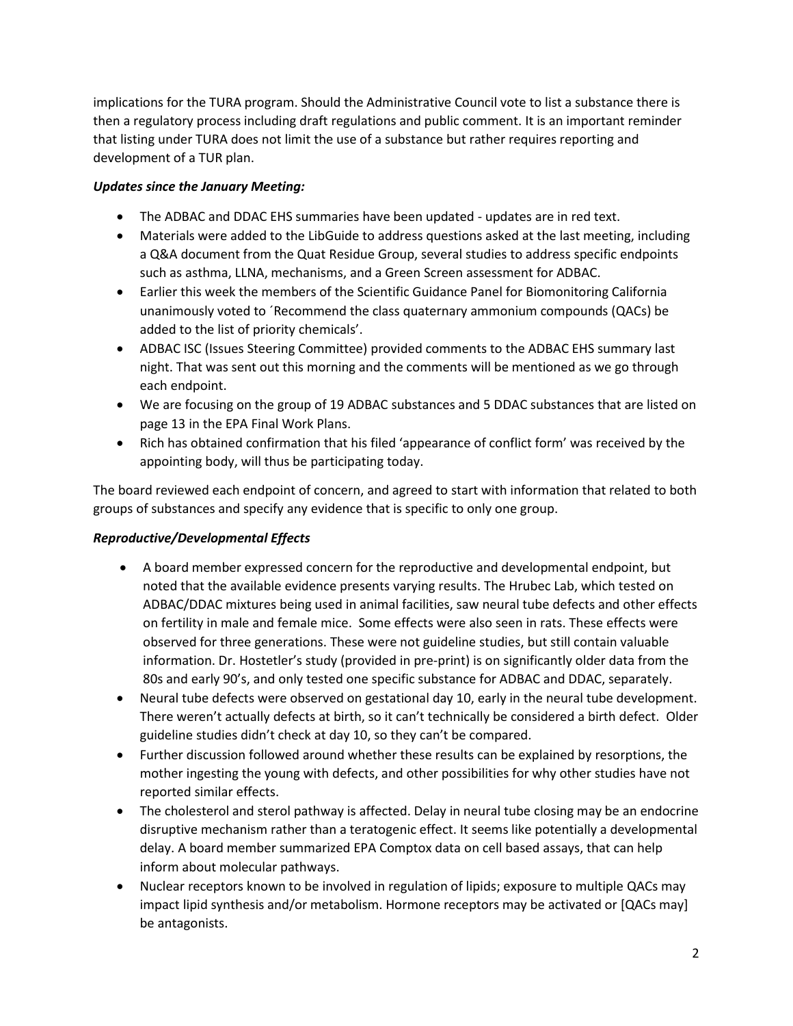implications for the TURA program. Should the Administrative Council vote to list a substance there is then a regulatory process including draft regulations and public comment. It is an important reminder that listing under TURA does not limit the use of a substance but rather requires reporting and development of a TUR plan.

## *Updates since the January Meeting:*

- The ADBAC and DDAC EHS summaries have been updated updates are in red text.
- Materials were added to the LibGuide to address questions asked at the last meeting, including a Q&A document from the Quat Residue Group, several studies to address specific endpoints such as asthma, LLNA, mechanisms, and a Green Screen assessment for ADBAC.
- Earlier this week the members of the Scientific Guidance Panel for Biomonitoring California unanimously voted to ´Recommend the class quaternary ammonium compounds (QACs) be added to the list of priority chemicals'.
- ADBAC ISC (Issues Steering Committee) provided comments to the ADBAC EHS summary last night. That was sent out this morning and the comments will be mentioned as we go through each endpoint.
- We are focusing on the group of 19 ADBAC substances and 5 DDAC substances that are listed on page 13 in the EPA Final Work Plans.
- Rich has obtained confirmation that his filed 'appearance of conflict form' was received by the appointing body, will thus be participating today.

The board reviewed each endpoint of concern, and agreed to start with information that related to both groups of substances and specify any evidence that is specific to only one group.

# *Reproductive/Developmental Effects*

- A board member expressed concern for the reproductive and developmental endpoint, but noted that the available evidence presents varying results. The Hrubec Lab, which tested on ADBAC/DDAC mixtures being used in animal facilities, saw neural tube defects and other effects on fertility in male and female mice. Some effects were also seen in rats. These effects were observed for three generations. These were not guideline studies, but still contain valuable information. Dr. Hostetler's study (provided in pre-print) is on significantly older data from the 80s and early 90's, and only tested one specific substance for ADBAC and DDAC, separately.
- Neural tube defects were observed on gestational day 10, early in the neural tube development. There weren't actually defects at birth, so it can't technically be considered a birth defect. Older guideline studies didn't check at day 10, so they can't be compared.
- Further discussion followed around whether these results can be explained by resorptions, the mother ingesting the young with defects, and other possibilities for why other studies have not reported similar effects.
- The cholesterol and sterol pathway is affected. Delay in neural tube closing may be an endocrine disruptive mechanism rather than a teratogenic effect. It seems like potentially a developmental delay. A board member summarized EPA Comptox data on cell based assays, that can help inform about molecular pathways.
- Nuclear receptors known to be involved in regulation of lipids; exposure to multiple QACs may impact lipid synthesis and/or metabolism. Hormone receptors may be activated or [QACs may] be antagonists.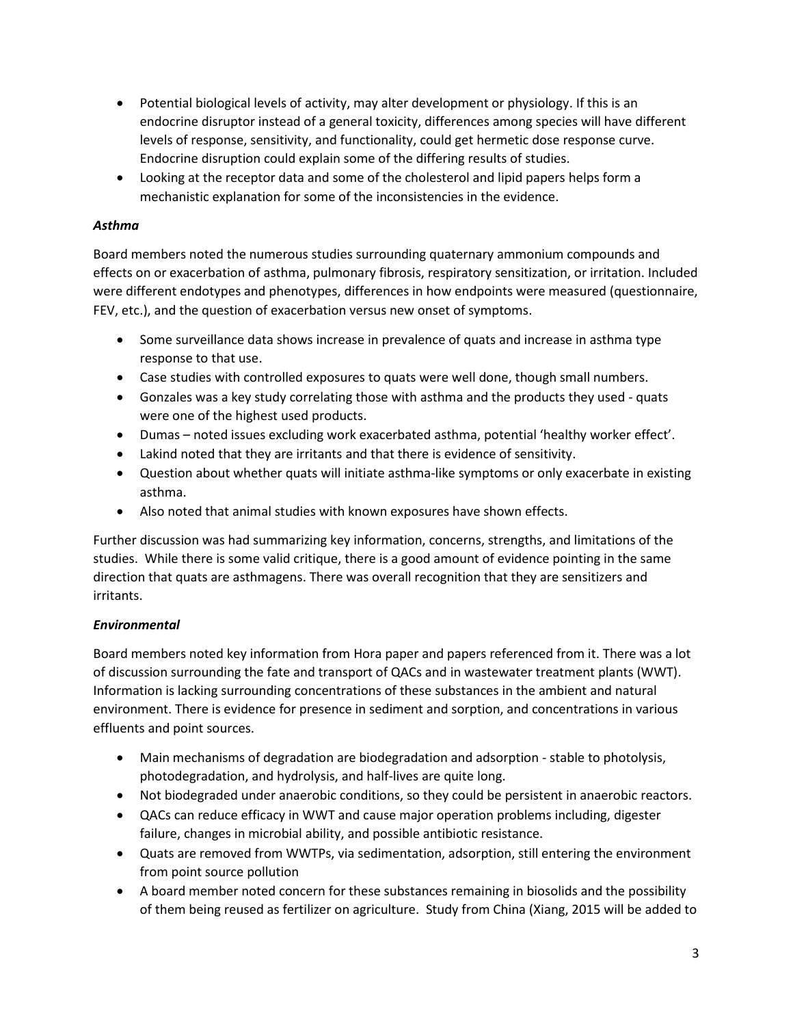- Potential biological levels of activity, may alter development or physiology. If this is an endocrine disruptor instead of a general toxicity, differences among species will have different levels of response, sensitivity, and functionality, could get hermetic dose response curve. Endocrine disruption could explain some of the differing results of studies.
- Looking at the receptor data and some of the cholesterol and lipid papers helps form a mechanistic explanation for some of the inconsistencies in the evidence.

## *Asthma*

Board members noted the numerous studies surrounding quaternary ammonium compounds and effects on or exacerbation of asthma, pulmonary fibrosis, respiratory sensitization, or irritation. Included were different endotypes and phenotypes, differences in how endpoints were measured (questionnaire, FEV, etc.), and the question of exacerbation versus new onset of symptoms.

- Some surveillance data shows increase in prevalence of quats and increase in asthma type response to that use.
- Case studies with controlled exposures to quats were well done, though small numbers.
- Gonzales was a key study correlating those with asthma and the products they used quats were one of the highest used products.
- Dumas noted issues excluding work exacerbated asthma, potential 'healthy worker effect'.
- Lakind noted that they are irritants and that there is evidence of sensitivity.
- Question about whether quats will initiate asthma-like symptoms or only exacerbate in existing asthma.
- Also noted that animal studies with known exposures have shown effects.

Further discussion was had summarizing key information, concerns, strengths, and limitations of the studies. While there is some valid critique, there is a good amount of evidence pointing in the same direction that quats are asthmagens. There was overall recognition that they are sensitizers and irritants.

## *Environmental*

Board members noted key information from Hora paper and papers referenced from it. There was a lot of discussion surrounding the fate and transport of QACs and in wastewater treatment plants (WWT). Information is lacking surrounding concentrations of these substances in the ambient and natural environment. There is evidence for presence in sediment and sorption, and concentrations in various effluents and point sources.

- Main mechanisms of degradation are biodegradation and adsorption stable to photolysis, photodegradation, and hydrolysis, and half-lives are quite long.
- Not biodegraded under anaerobic conditions, so they could be persistent in anaerobic reactors.
- QACs can reduce efficacy in WWT and cause major operation problems including, digester failure, changes in microbial ability, and possible antibiotic resistance.
- Quats are removed from WWTPs, via sedimentation, adsorption, still entering the environment from point source pollution
- A board member noted concern for these substances remaining in biosolids and the possibility of them being reused as fertilizer on agriculture. Study from China (Xiang, 2015 will be added to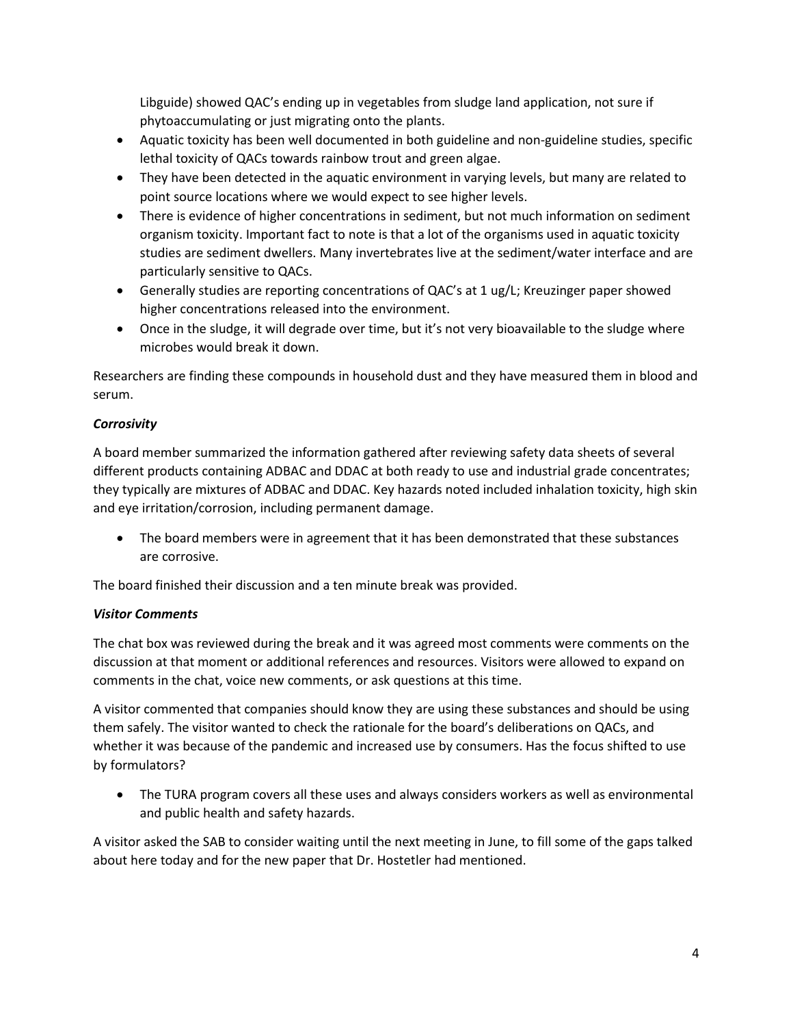Libguide) showed QAC's ending up in vegetables from sludge land application, not sure if phytoaccumulating or just migrating onto the plants.

- Aquatic toxicity has been well documented in both guideline and non-guideline studies, specific lethal toxicity of QACs towards rainbow trout and green algae.
- They have been detected in the aquatic environment in varying levels, but many are related to point source locations where we would expect to see higher levels.
- There is evidence of higher concentrations in sediment, but not much information on sediment organism toxicity. Important fact to note is that a lot of the organisms used in aquatic toxicity studies are sediment dwellers. Many invertebrates live at the sediment/water interface and are particularly sensitive to QACs.
- Generally studies are reporting concentrations of QAC's at 1 ug/L; Kreuzinger paper showed higher concentrations released into the environment.
- Once in the sludge, it will degrade over time, but it's not very bioavailable to the sludge where microbes would break it down.

Researchers are finding these compounds in household dust and they have measured them in blood and serum.

# *Corrosivity*

A board member summarized the information gathered after reviewing safety data sheets of several different products containing ADBAC and DDAC at both ready to use and industrial grade concentrates; they typically are mixtures of ADBAC and DDAC. Key hazards noted included inhalation toxicity, high skin and eye irritation/corrosion, including permanent damage.

• The board members were in agreement that it has been demonstrated that these substances are corrosive.

The board finished their discussion and a ten minute break was provided.

## *Visitor Comments*

The chat box was reviewed during the break and it was agreed most comments were comments on the discussion at that moment or additional references and resources. Visitors were allowed to expand on comments in the chat, voice new comments, or ask questions at this time.

A visitor commented that companies should know they are using these substances and should be using them safely. The visitor wanted to check the rationale for the board's deliberations on QACs, and whether it was because of the pandemic and increased use by consumers. Has the focus shifted to use by formulators?

• The TURA program covers all these uses and always considers workers as well as environmental and public health and safety hazards.

A visitor asked the SAB to consider waiting until the next meeting in June, to fill some of the gaps talked about here today and for the new paper that Dr. Hostetler had mentioned.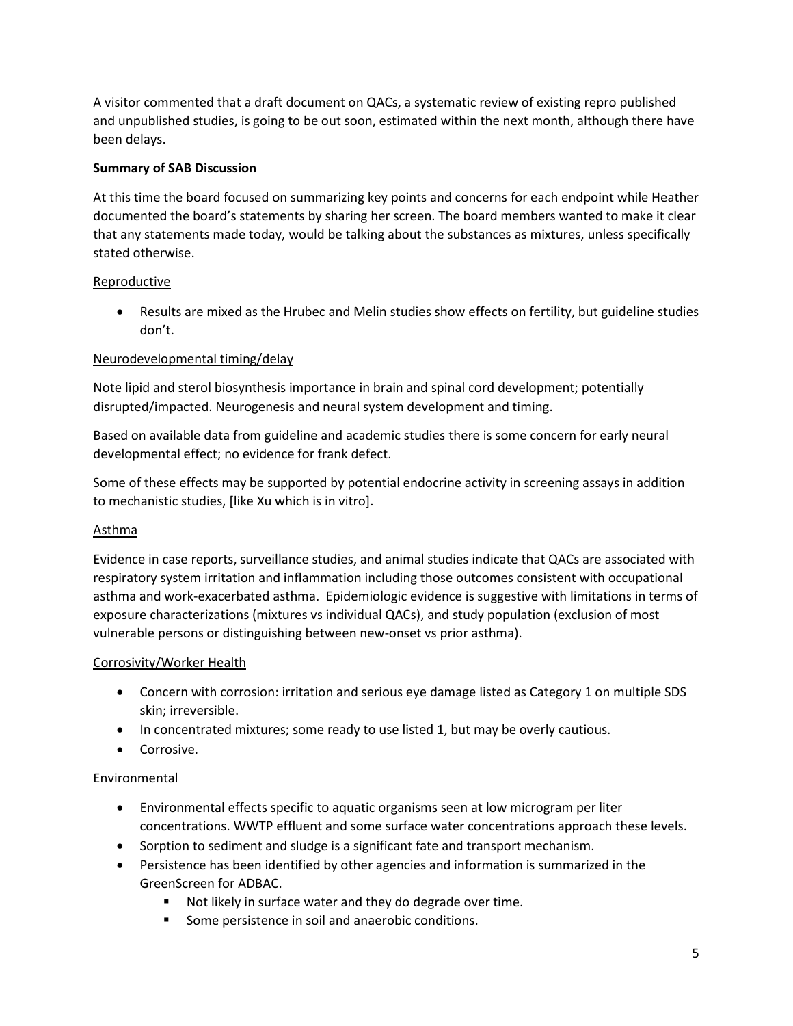A visitor commented that a draft document on QACs, a systematic review of existing repro published and unpublished studies, is going to be out soon, estimated within the next month, although there have been delays.

## **Summary of SAB Discussion**

At this time the board focused on summarizing key points and concerns for each endpoint while Heather documented the board's statements by sharing her screen. The board members wanted to make it clear that any statements made today, would be talking about the substances as mixtures, unless specifically stated otherwise.

# Reproductive

• Results are mixed as the Hrubec and Melin studies show effects on fertility, but guideline studies don't.

# Neurodevelopmental timing/delay

Note lipid and sterol biosynthesis importance in brain and spinal cord development; potentially disrupted/impacted. Neurogenesis and neural system development and timing.

Based on available data from guideline and academic studies there is some concern for early neural developmental effect; no evidence for frank defect.

Some of these effects may be supported by potential endocrine activity in screening assays in addition to mechanistic studies, [like Xu which is in vitro].

## Asthma

Evidence in case reports, surveillance studies, and animal studies indicate that QACs are associated with respiratory system irritation and inflammation including those outcomes consistent with occupational asthma and work-exacerbated asthma. Epidemiologic evidence is suggestive with limitations in terms of exposure characterizations (mixtures vs individual QACs), and study population (exclusion of most vulnerable persons or distinguishing between new-onset vs prior asthma).

## Corrosivity/Worker Health

- Concern with corrosion: irritation and serious eye damage listed as Category 1 on multiple SDS skin; irreversible.
- In concentrated mixtures; some ready to use listed 1, but may be overly cautious.
- Corrosive.

## Environmental

- Environmental effects specific to aquatic organisms seen at low microgram per liter concentrations. WWTP effluent and some surface water concentrations approach these levels.
- Sorption to sediment and sludge is a significant fate and transport mechanism.
- Persistence has been identified by other agencies and information is summarized in the GreenScreen for ADBAC.
	- Not likely in surface water and they do degrade over time.
	- Some persistence in soil and anaerobic conditions.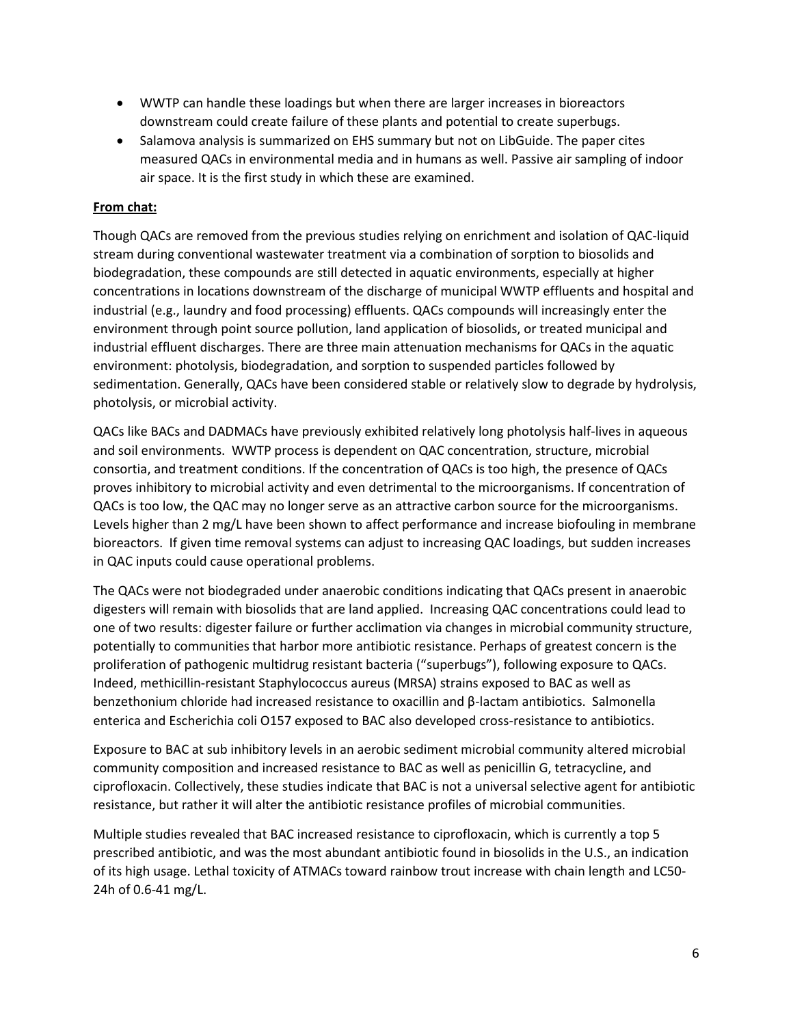- WWTP can handle these loadings but when there are larger increases in bioreactors downstream could create failure of these plants and potential to create superbugs.
- Salamova analysis is summarized on EHS summary but not on LibGuide. The paper cites measured QACs in environmental media and in humans as well. Passive air sampling of indoor air space. It is the first study in which these are examined.

## **From chat:**

Though QACs are removed from the previous studies relying on enrichment and isolation of QAC-liquid stream during conventional wastewater treatment via a combination of sorption to biosolids and biodegradation, these compounds are still detected in aquatic environments, especially at higher concentrations in locations downstream of the discharge of municipal WWTP effluents and hospital and industrial (e.g., laundry and food processing) effluents. QACs compounds will increasingly enter the environment through point source pollution, land application of biosolids, or treated municipal and industrial effluent discharges. There are three main attenuation mechanisms for QACs in the aquatic environment: photolysis, biodegradation, and sorption to suspended particles followed by sedimentation. Generally, QACs have been considered stable or relatively slow to degrade by hydrolysis, photolysis, or microbial activity.

QACs like BACs and DADMACs have previously exhibited relatively long photolysis half-lives in aqueous and soil environments. WWTP process is dependent on QAC concentration, structure, microbial consortia, and treatment conditions. If the concentration of QACs is too high, the presence of QACs proves inhibitory to microbial activity and even detrimental to the microorganisms. If concentration of QACs is too low, the QAC may no longer serve as an attractive carbon source for the microorganisms. Levels higher than 2 mg/L have been shown to affect performance and increase biofouling in membrane bioreactors. If given time removal systems can adjust to increasing QAC loadings, but sudden increases in QAC inputs could cause operational problems.

The QACs were not biodegraded under anaerobic conditions indicating that QACs present in anaerobic digesters will remain with biosolids that are land applied. Increasing QAC concentrations could lead to one of two results: digester failure or further acclimation via changes in microbial community structure, potentially to communities that harbor more antibiotic resistance. Perhaps of greatest concern is the proliferation of pathogenic multidrug resistant bacteria ("superbugs"), following exposure to QACs. Indeed, methicillin-resistant Staphylococcus aureus (MRSA) strains exposed to BAC as well as benzethonium chloride had increased resistance to oxacillin and β-lactam antibiotics. Salmonella enterica and Escherichia coli O157 exposed to BAC also developed cross-resistance to antibiotics.

Exposure to BAC at sub inhibitory levels in an aerobic sediment microbial community altered microbial community composition and increased resistance to BAC as well as penicillin G, tetracycline, and ciprofloxacin. Collectively, these studies indicate that BAC is not a universal selective agent for antibiotic resistance, but rather it will alter the antibiotic resistance profiles of microbial communities.

Multiple studies revealed that BAC increased resistance to ciprofloxacin, which is currently a top 5 prescribed antibiotic, and was the most abundant antibiotic found in biosolids in the U.S., an indication of its high usage. Lethal toxicity of ATMACs toward rainbow trout increase with chain length and LC50- 24h of 0.6-41 mg/L.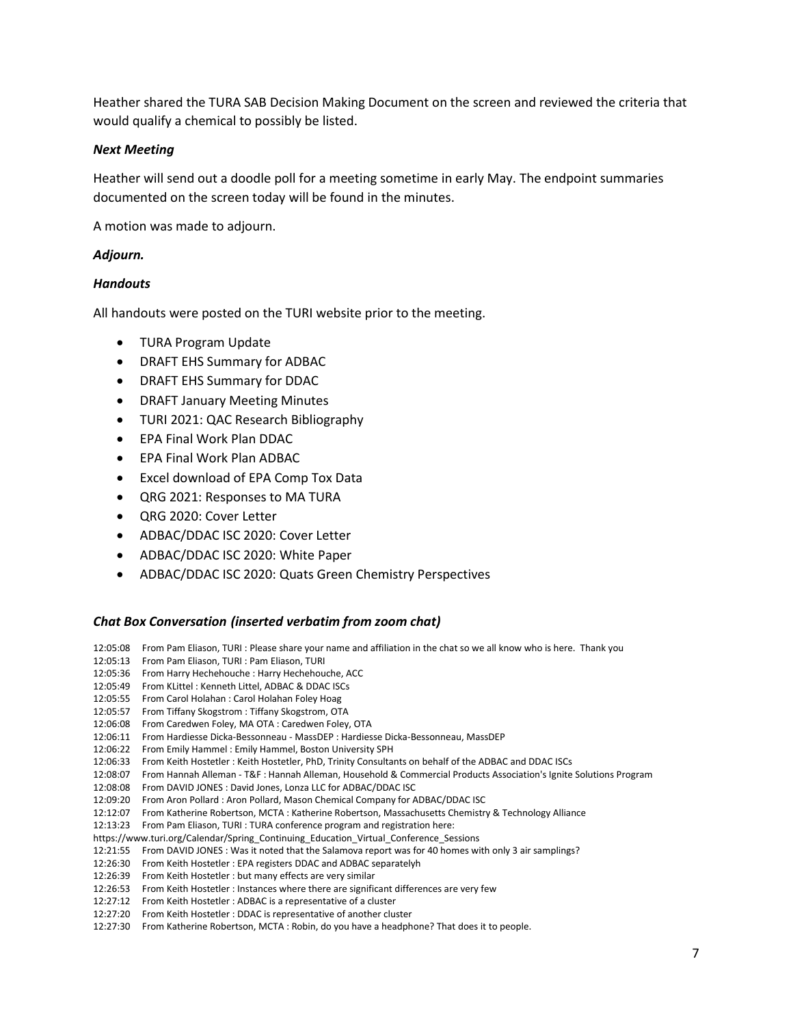Heather shared the TURA SAB Decision Making Document on the screen and reviewed the criteria that would qualify a chemical to possibly be listed.

#### *Next Meeting*

Heather will send out a doodle poll for a meeting sometime in early May. The endpoint summaries documented on the screen today will be found in the minutes.

A motion was made to adjourn.

#### *Adjourn.*

#### *Handouts*

All handouts were posted on the TURI website prior to the meeting.

- TURA Program Update
- DRAFT EHS Summary for ADBAC
- DRAFT EHS Summary for DDAC
- DRAFT January Meeting Minutes
- TURI 2021: QAC Research Bibliography
- EPA Final Work Plan DDAC
- EPA Final Work Plan ADBAC
- Excel download of EPA Comp Tox Data
- QRG 2021: Responses to MA TURA
- QRG 2020: Cover Letter
- ADBAC/DDAC ISC 2020: Cover Letter
- ADBAC/DDAC ISC 2020: White Paper
- ADBAC/DDAC ISC 2020: Quats Green Chemistry Perspectives

#### *Chat Box Conversation (inserted verbatim from zoom chat)*

12:05:08 From Pam Eliason, TURI : Please share your name and affiliation in the chat so we all know who is here. Thank you

12:05:13 From Pam Eliason, TURI : Pam Eliason, TURI

- 12:05:36 From Harry Hechehouche : Harry Hechehouche, ACC
- 12:05:49 From KLittel : Kenneth Littel, ADBAC & DDAC ISCs
- 12:05:55 From Carol Holahan : Carol Holahan Foley Hoag
- 12:05:57 From Tiffany Skogstrom : Tiffany Skogstrom, OTA
- 12:06:08 From Caredwen Foley, MA OTA : Caredwen Foley, OTA
- 12:06:11 From Hardiesse Dicka-Bessonneau MassDEP : Hardiesse Dicka-Bessonneau, MassDEP
- 12:06:22 From Emily Hammel : Emily Hammel, Boston University SPH
- 12:06:33 From Keith Hostetler : Keith Hostetler, PhD, Trinity Consultants on behalf of the ADBAC and DDAC ISCs
- 12:08:07 From Hannah Alleman T&F : Hannah Alleman, Household & Commercial Products Association's Ignite Solutions Program
- 12:08:08 From DAVID JONES : David Jones, Lonza LLC for ADBAC/DDAC ISC
- 12:09:20 From Aron Pollard : Aron Pollard, Mason Chemical Company for ADBAC/DDAC ISC
- 12:12:07 From Katherine Robertson, MCTA : Katherine Robertson, Massachusetts Chemistry & Technology Alliance
- 12:13:23 From Pam Eliason, TURI : TURA conference program and registration here:
- https://www.turi.org/Calendar/Spring\_Continuing\_Education\_Virtual\_Conference\_Sessions
- 12:21:55 From DAVID JONES : Was it noted that the Salamova report was for 40 homes with only 3 air samplings?
- 12:26:30 From Keith Hostetler : EPA registers DDAC and ADBAC separatelyh
- 12:26:39 From Keith Hostetler : but many effects are very similar
- 12:26:53 From Keith Hostetler : Instances where there are significant differences are very few
- 12:27:12 From Keith Hostetler : ADBAC is a representative of a cluster
- 12:27:20 From Keith Hostetler : DDAC is representative of another cluster
- 12:27:30 From Katherine Robertson, MCTA : Robin, do you have a headphone? That does it to people.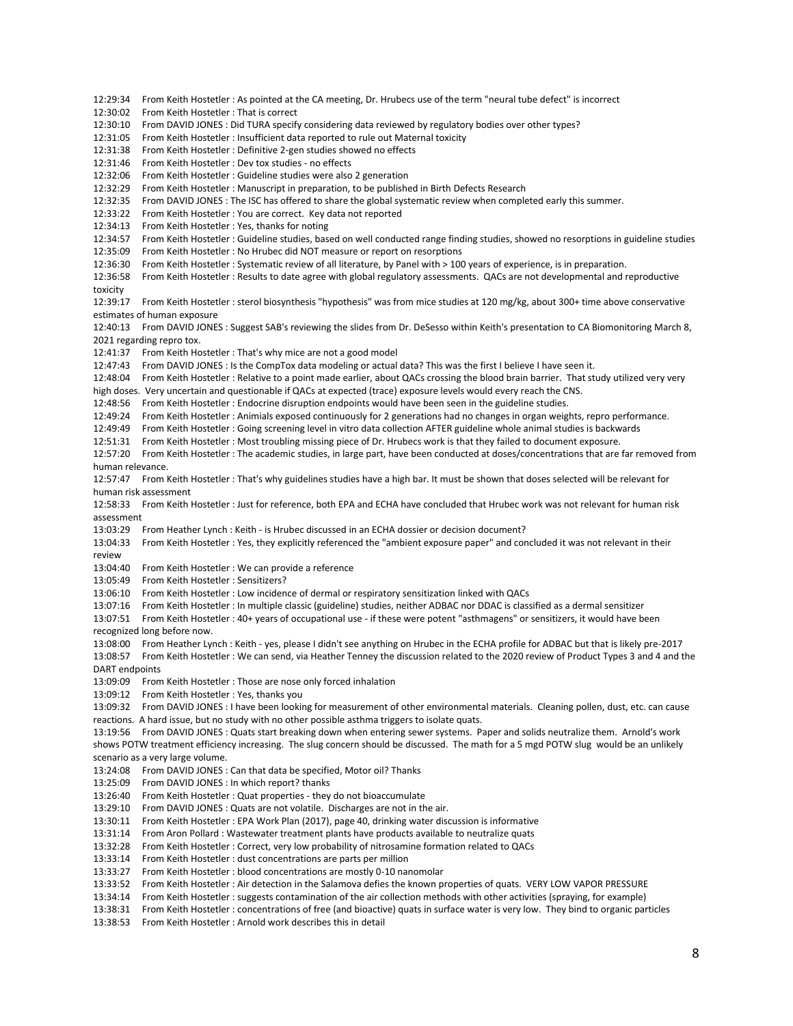12:29:34 From Keith Hostetler : As pointed at the CA meeting, Dr. Hrubecs use of the term "neural tube defect" is incorrect 12:30:02 From Keith Hostetler : That is correct 12:30:10 From DAVID JONES : Did TURA specify considering data reviewed by regulatory bodies over other types? 12:31:05 From Keith Hostetler : Insufficient data reported to rule out Maternal toxicity 12:31:38 From Keith Hostetler : Definitive 2-gen studies showed no effects 12:31:46 From Keith Hostetler : Dev tox studies - no effects 12:32:06 From Keith Hostetler : Guideline studies were also 2 generation 12:32:29 From Keith Hostetler : Manuscript in preparation, to be published in Birth Defects Research 12:32:35 From DAVID JONES : The ISC has offered to share the global systematic review when completed early this summer. 12:33:22 From Keith Hostetler : You are correct. Key data not reported 12:34:13 From Keith Hostetler : Yes, thanks for noting 12:34:57 From Keith Hostetler : Guideline studies, based on well conducted range finding studies, showed no resorptions in guideline studies 12:35:09 From Keith Hostetler : No Hrubec did NOT measure or report on resorptions 12:36:30 From Keith Hostetler : Systematic review of all literature, by Panel with > 100 years of experience, is in preparation. 12:36:58 From Keith Hostetler : Results to date agree with global regulatory assessments. QACs are not developmental and reproductive toxicity 12:39:17 From Keith Hostetler : sterol biosynthesis "hypothesis" was from mice studies at 120 mg/kg, about 300+ time above conservative estimates of human exposure 12:40:13 From DAVID JONES : Suggest SAB's reviewing the slides from Dr. DeSesso within Keith's presentation to CA Biomonitoring March 8, 2021 regarding repro tox. 12:41:37 From Keith Hostetler : That's why mice are not a good model 12:47:43 From DAVID JONES : Is the CompTox data modeling or actual data? This was the first I believe I have seen it. 12:48:04 From Keith Hostetler : Relative to a point made earlier, about QACs crossing the blood brain barrier. That study utilized very very high doses. Very uncertain and questionable if QACs at expected (trace) exposure levels would every reach the CNS. 12:48:56 From Keith Hostetler : Endocrine disruption endpoints would have been seen in the guideline studies. 12:49:24 From Keith Hostetler : Animials exposed continuously for 2 generations had no changes in organ weights, repro performance. 12:49:49 From Keith Hostetler : Going screening level in vitro data collection AFTER guideline whole animal studies is backwards 12:51:31 From Keith Hostetler : Most troubling missing piece of Dr. Hrubecs work is that they failed to document exposure. 12:57:20 From Keith Hostetler : The academic studies, in large part, have been conducted at doses/concentrations that are far removed from human relevance. 12:57:47 From Keith Hostetler : That's why guidelines studies have a high bar. It must be shown that doses selected will be relevant for human risk assessment 12:58:33 From Keith Hostetler : Just for reference, both EPA and ECHA have concluded that Hrubec work was not relevant for human risk assessment 13:03:29 From Heather Lynch : Keith - is Hrubec discussed in an ECHA dossier or decision document? 13:04:33 From Keith Hostetler : Yes, they explicitly referenced the "ambient exposure paper" and concluded it was not relevant in their review 13:04:40 From Keith Hostetler : We can provide a reference 13:05:49 From Keith Hostetler : Sensitizers? 13:06:10 From Keith Hostetler : Low incidence of dermal or respiratory sensitization linked with QACs 13:07:16 From Keith Hostetler : In multiple classic (guideline) studies, neither ADBAC nor DDAC is classified as a dermal sensitizer 13:07:51 From Keith Hostetler : 40+ years of occupational use - if these were potent "asthmagens" or sensitizers, it would have been recognized long before now. 13:08:00 From Heather Lynch : Keith - yes, please I didn't see anything on Hrubec in the ECHA profile for ADBAC but that is likely pre-2017 13:08:57 From Keith Hostetler : We can send, via Heather Tenney the discussion related to the 2020 review of Product Types 3 and 4 and the DART endpoints 13:09:09 From Keith Hostetler : Those are nose only forced inhalation 13:09:12 From Keith Hostetler : Yes, thanks you 13:09:32 From DAVID JONES : I have been looking for measurement of other environmental materials. Cleaning pollen, dust, etc. can cause reactions. A hard issue, but no study with no other possible asthma triggers to isolate quats. 13:19:56 From DAVID JONES : Quats start breaking down when entering sewer systems. Paper and solids neutralize them. Arnold's work shows POTW treatment efficiency increasing. The slug concern should be discussed. The math for a 5 mgd POTW slug would be an unlikely scenario as a very large volume. 13:24:08 From DAVID JONES : Can that data be specified, Motor oil? Thanks 13:25:09 From DAVID JONES : In which report? thanks 13:26:40 From Keith Hostetler : Quat properties - they do not bioaccumulate 13:29:10 From DAVID JONES : Quats are not volatile. Discharges are not in the air. 13:30:11 From Keith Hostetler : EPA Work Plan (2017), page 40, drinking water discussion is informative 13:31:14 From Aron Pollard : Wastewater treatment plants have products available to neutralize quats 13:32:28 From Keith Hostetler : Correct, very low probability of nitrosamine formation related to QACs 13:33:14 From Keith Hostetler : dust concentrations are parts per million 13:33:27 From Keith Hostetler : blood concentrations are mostly 0-10 nanomolar 13:33:52 From Keith Hostetler : Air detection in the Salamova defies the known properties of quats. VERY LOW VAPOR PRESSURE 13:34:14 From Keith Hostetler : suggests contamination of the air collection methods with other activities (spraying, for example) 13:38:31 From Keith Hostetler : concentrations of free (and bioactive) quats in surface water is very low. They bind to organic particles

13:38:53 From Keith Hostetler : Arnold work describes this in detail

8